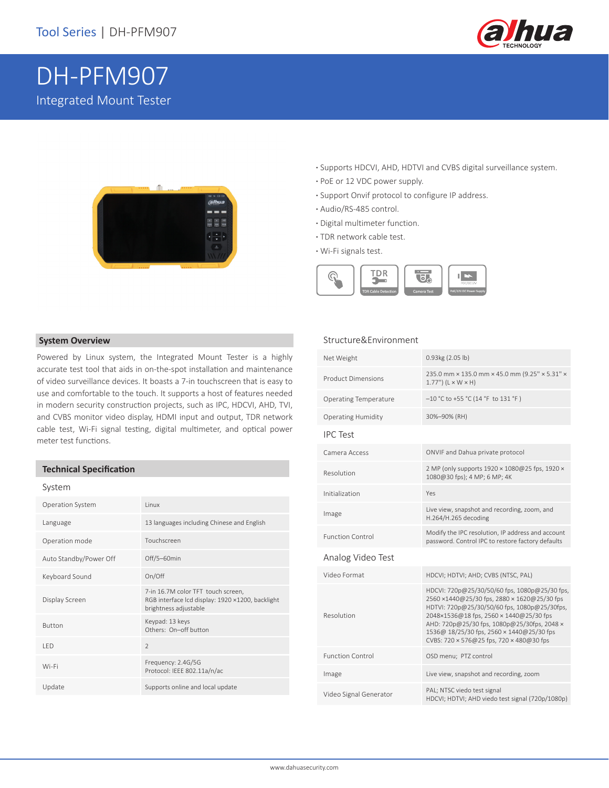

# DH-PFM907 Integrated Mount Tester



- **·** Supports HDCVI, AHD, HDTVI and CVBS digital surveillance system.
- **·** PoE or 12 VDC power supply.
- **·** Support Onvif protocol to configure IP address.
- **·** Audio/RS-485 control.
- **·** Digital multimeter function.
- **·** TDR network cable test.
- **·** Wi-Fi signals test.



#### **System Overview**

Powered by Linux system, the Integrated Mount Tester is a highly accurate test tool that aids in on-the-spot installation and maintenance of video surveillance devices. It boasts a 7-in touchscreen that is easy to use and comfortable to the touch. It supports a host of features needed in modern security construction projects, such as IPC, HDCVI, AHD, TVI, and CVBS monitor video display, HDMI input and output, TDR network cable test, Wi-Fi signal testing, digital multimeter, and optical power meter test functions.

#### **Technical Specification**

#### System

| Operation System       | <b>linux</b>                                                                                                    |
|------------------------|-----------------------------------------------------------------------------------------------------------------|
| Language               | 13 languages including Chinese and English                                                                      |
| Operation mode         | Touchscreen                                                                                                     |
| Auto Standby/Power Off | Off/5-60min                                                                                                     |
| Keyboard Sound         | On/Off                                                                                                          |
| Display Screen         | 7-in 16.7M color TFT touch screen,<br>RGB interface Icd display: 1920 ×1200, backlight<br>brightness adjustable |
| <b>Button</b>          | Keypad: 13 keys<br>Others: On-off button                                                                        |
| <b>IFD</b>             | $\mathfrak{D}$                                                                                                  |
| Wi-Fi                  | Frequency: 2.4G/5G<br>Protocol: IEEE 802.11a/n/ac                                                               |
| Update                 | Supports online and local update                                                                                |

#### Structure&Environment

| Net Weight                   | 0.93kg (2.05 lb)                                                                                                                                                                                                                                                                                                                |
|------------------------------|---------------------------------------------------------------------------------------------------------------------------------------------------------------------------------------------------------------------------------------------------------------------------------------------------------------------------------|
| <b>Product Dimensions</b>    | 235.0 mm × 135.0 mm × 45.0 mm (9.25" × 5.31" ×<br>$1.77$ ") ( $L \times W \times H$ )                                                                                                                                                                                                                                           |
| <b>Operating Temperature</b> | $-10$ °C to +55 °C (14 °F to 131 °F)                                                                                                                                                                                                                                                                                            |
| <b>Operating Humidity</b>    | 30%-90% (RH)                                                                                                                                                                                                                                                                                                                    |
| <b>IPC Test</b>              |                                                                                                                                                                                                                                                                                                                                 |
| Camera Access                | ONVIF and Dahua private protocol                                                                                                                                                                                                                                                                                                |
| Resolution                   | 2 MP (only supports 1920 × 1080@25 fps, 1920 ×<br>1080@30 fps); 4 MP; 6 MP; 4K                                                                                                                                                                                                                                                  |
| Initialization               | Yes                                                                                                                                                                                                                                                                                                                             |
| Image                        | Live view, snapshot and recording, zoom, and<br>H.264/H.265 decoding                                                                                                                                                                                                                                                            |
| <b>Function Control</b>      | Modify the IPC resolution, IP address and account<br>password. Control IPC to restore factory defaults                                                                                                                                                                                                                          |
| Analog Video Test            |                                                                                                                                                                                                                                                                                                                                 |
| Video Format                 | HDCVI; HDTVI; AHD; CVBS (NTSC, PAL)                                                                                                                                                                                                                                                                                             |
| Resolution                   | HDCVI: 720p@25/30/50/60 fps, 1080p@25/30 fps,<br>2560 ×1440@25/30 fps, 2880 × 1620@25/30 fps<br>HDTVI: 720p@25/30/50/60 fps, 1080p@25/30fps,<br>2048×1536@18 fps, 2560 × 1440@25/30 fps<br>AHD: 720p@25/30 fps, 1080p@25/30fps, 2048 x<br>1536@ 18/25/30 fps, 2560 × 1440@25/30 fps<br>CVBS: 720 × 576@25 fps, 720 × 480@30 fps |
| <b>Function Control</b>      | OSD menu; PTZ control                                                                                                                                                                                                                                                                                                           |
| Image                        | Live view, snapshot and recording, zoom                                                                                                                                                                                                                                                                                         |
| Video Signal Generator       | PAL; NTSC viedo test signal<br>HDCVI; HDTVI; AHD viedo test signal (720p/1080p)                                                                                                                                                                                                                                                 |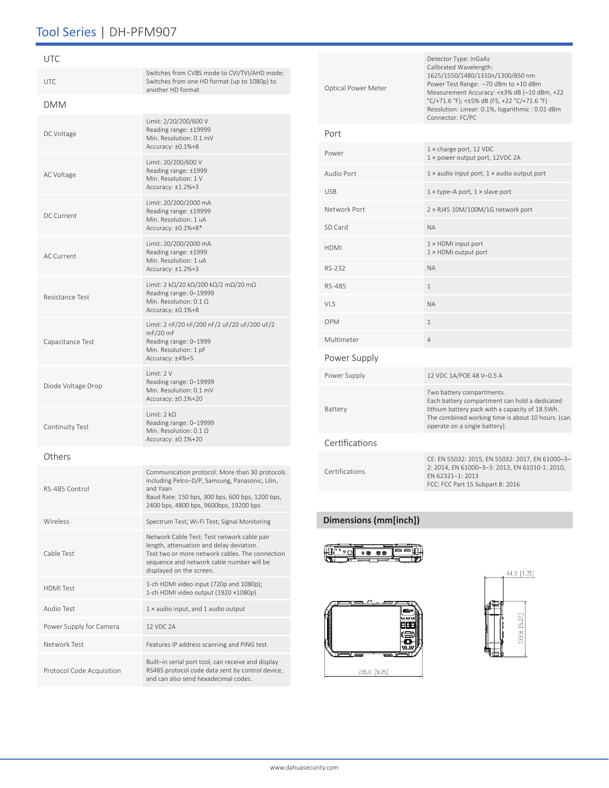# Tool Series | DH-PFM907

| UTC                       |                                                                                                                                                                                                                     |
|---------------------------|---------------------------------------------------------------------------------------------------------------------------------------------------------------------------------------------------------------------|
| UTC.                      | Switches from CVBS mode to CVI/TVI/AHD mode;<br>Switches from one HD format (up to 1080p) to<br>another HD format                                                                                                   |
| <b>DMM</b>                |                                                                                                                                                                                                                     |
| DC Voltage                | Limit: 2/20/200/600 V<br>Reading range: ±19999<br>Min. Resolution: 0.1 mV<br>Accuracy: ±0.1%+8                                                                                                                      |
| <b>AC Voltage</b>         | Limit: 20/200/600 V<br>Reading range: ±1999<br>Min. Resolution: 1 V<br>Accuracy: ±1.2%+3                                                                                                                            |
| <b>DC Current</b>         | Limit: 20/200/2000 mA<br>Reading range: ±19999<br>Min. Resolution: 1 uA<br>Accuracy: ±0.1%+8*                                                                                                                       |
| <b>AC Current</b>         | Limit: 20/200/2000 mA<br>Reading range: ±1999<br>Min. Resolution: 1 uA<br>Accuracy: $\pm 1.2\% + 3$                                                                                                                 |
| Resistance Test           | Limit: 2 k $\Omega/20$ k $\Omega/200$ k $\Omega/2$ m $\Omega/20$ m $\Omega$<br>Reading range: 0-19999<br>Min. Resolution: $0.1 \Omega$<br>Accuracy: ±0.1%+8                                                         |
| Capacitance Test          | Limit: 2 nF/20 nF/200 nF/2 uF/20 uF/200 uF/2<br>$mF/20$ mF<br>Reading range: 0-1999<br>Min. Resolution: 1 pF<br>Accuracy: ±4%+5                                                                                     |
| Diode Voltage Drop        | Limit: 2 V<br>Reading range: 0-19999<br>Min. Resolution: 0.1 mV<br>Accuracy: ±0.1%+20                                                                                                                               |
| Continuity Test           | Limit: $2 k\Omega$<br>Reading range: 0-19999<br>Min. Resolution: $0.1 \Omega$<br>Accuracy: ±0.1%+20                                                                                                                 |
| Others                    |                                                                                                                                                                                                                     |
| RS-485 Control            | Communication protocol: More than 30 protocols<br>including Pelco-D/P, Samsung, Panasonic, Lilin,<br>and Yaan<br>Baud Rate: 150 bps, 300 bps, 600 bps, 1200 bps,<br>2400 bps, 4800 bps, 9600bps, 19200 bps          |
| Wireless                  | Spectrum Test; Wi-Fi Test; Signal Monitoring                                                                                                                                                                        |
| Cable Test                | Network Cable Test: Test network cable pair<br>length, attenuation and delay deviation.<br>Test two or more network cables. The connection<br>sequence and network cable number will be<br>displayed on the screen. |
| <b>HDMI</b> Test          | 1-ch HDMI video input (720p and 1080p);<br>1-ch HDMI video output (1920 ×1080p)                                                                                                                                     |
| Audio Test                | $1 \times$ audio input, and 1 audio output                                                                                                                                                                          |
| Power Supply for Camera   | <b>12 VDC 2A</b>                                                                                                                                                                                                    |
| Network Test              | Features IP address scanning and PING test.                                                                                                                                                                         |
| Protocol Code Acquisition | Built-in serial port tool, can receive and display<br>RS485 protocol code data sent by control device,<br>and can also send hexadecimal codes.                                                                      |

| Optical Power Meter | Detector Type: InGaAs<br>Calibrated Wavelength:<br>1625/1550/1480/1310n/1300/850 nm<br>Power Test Range: -70 dBm to +10 dBm<br>Measurement Accuracy: <±3% dB (-10 dBm, +22<br>°C/+71.6 °F); <±5% dB (FS, +22 °C/+71.6 °F)<br>Resolution: Linear: 0.1%, logarithmic: 0.01 dBm<br>Connector: FC/PC |
|---------------------|--------------------------------------------------------------------------------------------------------------------------------------------------------------------------------------------------------------------------------------------------------------------------------------------------|
| Port                |                                                                                                                                                                                                                                                                                                  |
| Power               | $1 \times$ charge port, 12 VDC<br>1 × power output port, 12VDC 2A                                                                                                                                                                                                                                |
| Audio Port          | $1 \times$ audio input port, $1 \times$ audio output port                                                                                                                                                                                                                                        |
| <b>USB</b>          | $1 \times$ type-A port, $1 \times$ slave port                                                                                                                                                                                                                                                    |
| Network Port        | $2 \times$ RJ45 10M/100M/1G network port                                                                                                                                                                                                                                                         |
| SD Card             | <b>NA</b>                                                                                                                                                                                                                                                                                        |
| <b>HDMI</b>         | $1 \times$ HDMI input port<br>$1 \times$ HDMI output port                                                                                                                                                                                                                                        |
| RS-232              | <b>NA</b>                                                                                                                                                                                                                                                                                        |
| RS-485              | $\mathbf{1}$                                                                                                                                                                                                                                                                                     |
| VLS                 | <b>NA</b>                                                                                                                                                                                                                                                                                        |
| <b>OPM</b>          | $\mathbf{1}$                                                                                                                                                                                                                                                                                     |
| Multimeter          | 4                                                                                                                                                                                                                                                                                                |
| Power Supply        |                                                                                                                                                                                                                                                                                                  |
| Power Supply        | 12 VDC 1A/POE 48 V-0.5 A                                                                                                                                                                                                                                                                         |
| Battery             | Two battery compartments.<br>Each battery compartment can hold a dedicated<br>lithium battery pack with a capacity of 18.5Wh.<br>The combined working time is about 10 hours. (can<br>operate on a single battery).                                                                              |
| Certifications      |                                                                                                                                                                                                                                                                                                  |
| Certifications      | CE: EN 55032: 2015, EN 55032: 2017, EN 61000-3-<br>2: 2014, EN 61000-3-3: 2013, EN 61010-1: 2010,<br>EN 62321-1: 2013<br>FCC: FCC Part 15 Subpart B: 2016                                                                                                                                        |

### **Dimensions (mm[inch])**